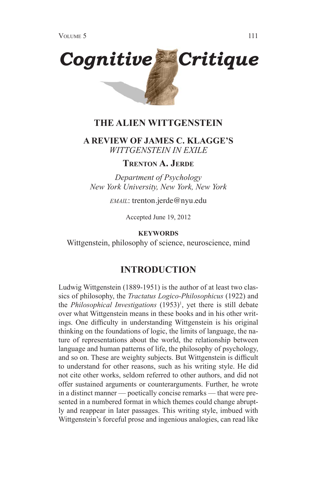

## **THE ALIEN WITTGENSTEIN**

## **A REVIEW OF JAMES C. KLAGGE'S**  *WITTGENSTEIN IN EXILE*

## **Trenton A. Jerde**

*Department of Psychology New York University, New York, New York*

*EMAIL*: trenton.jerde@nyu.edu

Accepted June 19, 2012

#### **KEYWORDS**

Wittgenstein, philosophy of science, neuroscience, mind

## **INTRODUCTION**

Ludwig Wittgenstein (1889-1951) is the author of at least two classics of philosophy, the *Tractatus Logico-Philosophicus* (1922) and the *Philosophical Investigations* (1953)<sup>1</sup>, yet there is still debate over what Wittgenstein means in these books and in his other writings. One difficulty in understanding Wittgenstein is his original thinking on the foundations of logic, the limits of language, the nature of representations about the world, the relationship between language and human patterns of life, the philosophy of psychology, and so on. These are weighty subjects. But Wittgenstein is difficult to understand for other reasons, such as his writing style. He did not cite other works, seldom referred to other authors, and did not offer sustained arguments or counterarguments. Further, he wrote in a distinct manner — poetically concise remarks — that were presented in a numbered format in which themes could change abruptly and reappear in later passages. This writing style, imbued with Wittgenstein's forceful prose and ingenious analogies, can read like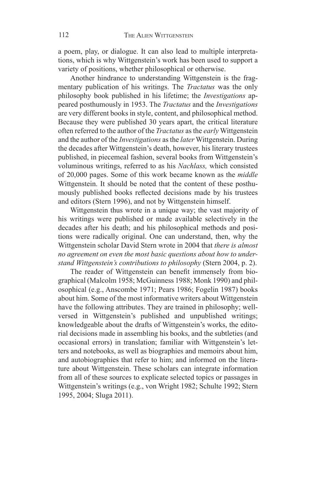a poem, play, or dialogue. It can also lead to multiple interpretations, which is why Wittgenstein's work has been used to support a variety of positions, whether philosophical or otherwise.

Another hindrance to understanding Wittgenstein is the fragmentary publication of his writings. The *Tractatus* was the only philosophy book published in his lifetime; the *Investigations* appeared posthumously in 1953. The *Tractatus* and the *Investigations* are very different books in style, content, and philosophical method. Because they were published 30 years apart, the critical literature often referred to the author of the *Tractatus* as the *early* Wittgenstein and the author of the *Investigations* as the *later* Wittgenstein. During the decades after Wittgenstein's death, however, his literary trustees published, in piecemeal fashion, several books from Wittgenstein's voluminous writings, referred to as his *Nachlass,* which consisted of 20,000 pages. Some of this work became known as the *middle* Wittgenstein. It should be noted that the content of these posthumously published books reflected decisions made by his trustees and editors (Stern 1996), and not by Wittgenstein himself.

Wittgenstein thus wrote in a unique way; the vast majority of his writings were published or made available selectively in the decades after his death; and his philosophical methods and positions were radically original. One can understand, then, why the Wittgenstein scholar David Stern wrote in 2004 that *there is almost no agreement on even the most basic questions about how to understand Wittgenstein's contributions to philosophy* (Stern 2004, p. 2).

The reader of Wittgenstein can benefit immensely from biographical (Malcolm 1958; McGuinness 1988; Monk 1990) and philosophical (e.g., Anscombe 1971; Pears 1986; Fogelin 1987) books about him. Some of the most informative writers about Wittgenstein have the following attributes. They are trained in philosophy; wellversed in Wittgenstein's published and unpublished writings; knowledgeable about the drafts of Wittgenstein's works, the editorial decisions made in assembling his books, and the subtleties (and occasional errors) in translation; familiar with Wittgenstein's letters and notebooks, as well as biographies and memoirs about him, and autobiographies that refer to him; and informed on the literature about Wittgenstein. These scholars can integrate information from all of these sources to explicate selected topics or passages in Wittgenstein's writings (e.g., von Wright 1982; Schulte 1992; Stern 1995, 2004; Sluga 2011).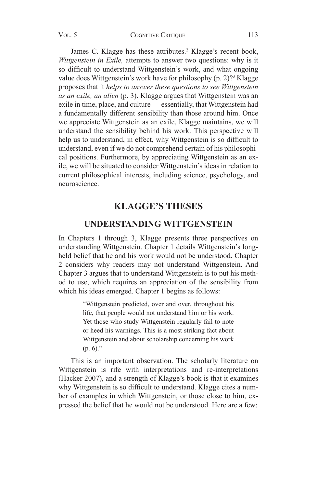James C. Klagge has these attributes.<sup>2</sup> Klagge's recent book, *Wittgenstein in Exile,* attempts to answer two questions: why is it so difficult to understand Wittgenstein's work, and what ongoing value does Wittgenstein's work have for philosophy (p. 2)?<sup>3</sup> Klagge proposes that it *helps to answer these questions to see Wittgenstein as an exile, an alien* (p. 3). Klagge argues that Wittgenstein was an exile in time, place, and culture — essentially, that Wittgenstein had a fundamentally different sensibility than those around him. Once we appreciate Wittgenstein as an exile, Klagge maintains, we will understand the sensibility behind his work. This perspective will help us to understand, in effect, why Wittgenstein is so difficult to understand, even if we do not comprehend certain of his philosophical positions. Furthermore, by appreciating Wittgenstein as an exile, we will be situated to consider Wittgenstein's ideas in relation to current philosophical interests, including science, psychology, and neuroscience.

# **KLAGGE'S THESES**

## **UNDERSTANDING WITTGENSTEIN**

In Chapters 1 through 3, Klagge presents three perspectives on understanding Wittgenstein. Chapter 1 details Wittgenstein's longheld belief that he and his work would not be understood. Chapter 2 considers why readers may not understand Wittgenstein. And Chapter 3 argues that to understand Wittgenstein is to put his method to use, which requires an appreciation of the sensibility from which his ideas emerged. Chapter 1 begins as follows:

> "Wittgenstein predicted, over and over, throughout his life, that people would not understand him or his work. Yet those who study Wittgenstein regularly fail to note or heed his warnings. This is a most striking fact about Wittgenstein and about scholarship concerning his work  $(p, 6)$ ."

This is an important observation. The scholarly literature on Wittgenstein is rife with interpretations and re-interpretations (Hacker 2007), and a strength of Klagge's book is that it examines why Wittgenstein is so difficult to understand. Klagge cites a number of examples in which Wittgenstein, or those close to him, expressed the belief that he would not be understood. Here are a few: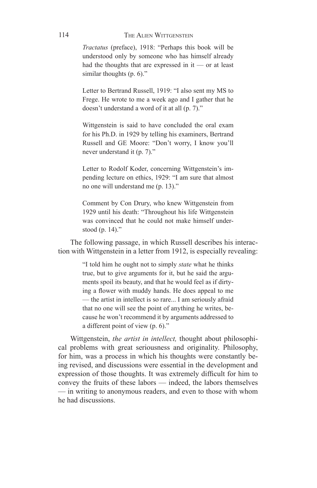#### THE ALIEN WITTGENSTEIN

*Tractatus* (preface), 1918: "Perhaps this book will be understood only by someone who has himself already had the thoughts that are expressed in it — or at least similar thoughts (p. 6)."

Letter to Bertrand Russell, 1919: "I also sent my MS to Frege. He wrote to me a week ago and I gather that he doesn't understand a word of it at all (p. 7)."

Wittgenstein is said to have concluded the oral exam for his Ph.D. in 1929 by telling his examiners, Bertrand Russell and GE Moore: "Don't worry, I know you'll never understand it (p. 7)."

Letter to Rodolf Koder, concerning Wittgenstein's impending lecture on ethics, 1929: "I am sure that almost no one will understand me (p. 13)."

Comment by Con Drury, who knew Wittgenstein from 1929 until his death: "Throughout his life Wittgenstein was convinced that he could not make himself understood (p. 14)."

The following passage, in which Russell describes his interaction with Wittgenstein in a letter from 1912, is especially revealing:

> "I told him he ought not to simply *state* what he thinks true, but to give arguments for it, but he said the arguments spoil its beauty, and that he would feel as if dirtying a flower with muddy hands. He does appeal to me — the artist in intellect is so rare... I am seriously afraid that no one will see the point of anything he writes, because he won't recommend it by arguments addressed to a different point of view (p. 6)."

Wittgenstein, *the artist in intellect,* thought about philosophical problems with great seriousness and originality. Philosophy, for him, was a process in which his thoughts were constantly being revised, and discussions were essential in the development and expression of those thoughts. It was extremely difficult for him to convey the fruits of these labors — indeed, the labors themselves — in writing to anonymous readers, and even to those with whom he had discussions.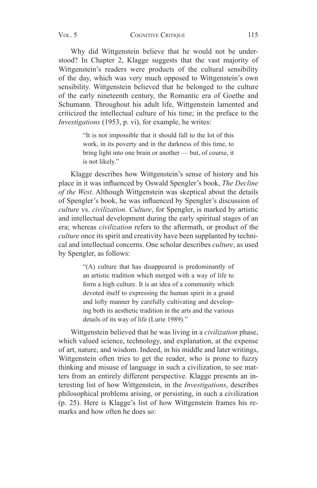Why did Wittgenstein believe that he would not be understood? In Chapter 2, Klagge suggests that the vast majority of Wittgenstein's readers were products of the cultural sensibility of the day, which was very much opposed to Wittgenstein's own sensibility. Wittgenstein believed that he belonged to the culture of the early nineteenth century, the Romantic era of Goethe and Schumann. Throughout his adult life, Wittgenstein lamented and criticized the intellectual culture of his time; in the preface to the *Investigations* (1953, p. vi), for example, he writes:

> "It is not impossible that it should fall to the lot of this work, in its poverty and in the darkness of this time, to bring light into one brain or another — but, of course, it is not likely."

Klagge describes how Wittgenstein's sense of history and his place in it was influenced by Oswald Spengler's book, *The Decline of the West*. Although Wittgenstein was skeptical about the details of Spengler's book, he was influenced by Spengler's discussion of *culture* vs. *civilization*. *Culture*, for Spengler, is marked by artistic and intellectual development during the early spiritual stages of an era; whereas *civilization* refers to the aftermath, or product of the *culture* once its spirit and creativity have been supplanted by technical and intellectual concerns. One scholar describes *culture*, as used by Spengler, as follows:

> "(A) culture that has disappeared is predominantly of an artistic tradition which merged with a way of life to form a high culture. It is an idea of a community which devoted itself to expressing the human spirit in a grand and lofty manner by carefully cultivating and developing both its aesthetic tradition in the arts and the various details of its way of life (Lurie 1989)."

Wittgenstein believed that he was living in a *civilization* phase, which valued science, technology, and explanation, at the expense of art, nature, and wisdom. Indeed, in his middle and later writings, Wittgenstein often tries to get the reader, who is prone to fuzzy thinking and misuse of language in such a civilization, to see matters from an entirely different perspective. Klagge presents an interesting list of how Wittgenstein, in the *Investigations*, describes philosophical problems arising, or persisting, in such a civilization (p. 25). Here is Klagge's list of how Wittgenstein frames his remarks and how often he does so: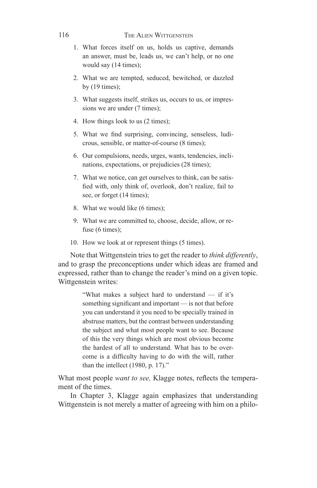### The Alien Wittgenstein

- 1. What forces itself on us, holds us captive, demands an answer, must be, leads us, we can't help, or no one would say (14 times);
- 2. What we are tempted, seduced, bewitched, or dazzled by  $(19 \times)$ ;
- 3. What suggests itself, strikes us, occurs to us, or impressions we are under  $(7 \text{ times})$ ;
- 4. How things look to us (2 times);
- 5. What we find surprising, convincing, senseless, ludicrous, sensible, or matter-of-course (8 times);
- 6. Our compulsions, needs, urges, wants, tendencies, inclinations, expectations, or prejudicies (28 times);
- 7. What we notice, can get ourselves to think, can be satisfied with, only think of, overlook, don't realize, fail to see, or forget (14 times);
- 8. What we would like (6 times);
- 9. What we are committed to, choose, decide, allow, or refuse (6 times);
- 10. How we look at or represent things (5 times).

Note that Wittgenstein tries to get the reader to *think differently*, and to grasp the preconceptions under which ideas are framed and expressed, rather than to change the reader's mind on a given topic. Wittgenstein writes:

> "What makes a subject hard to understand — if it's something significant and important — is not that before you can understand it you need to be specially trained in abstruse matters, but the contrast between understanding the subject and what most people want to see. Because of this the very things which are most obvious become the hardest of all to understand. What has to be overcome is a difficulty having to do with the will, rather than the intellect (1980, p. 17)."

What most people *want to see,* Klagge notes, reflects the temperament of the times.

In Chapter 3, Klagge again emphasizes that understanding Wittgenstein is not merely a matter of agreeing with him on a philo-

116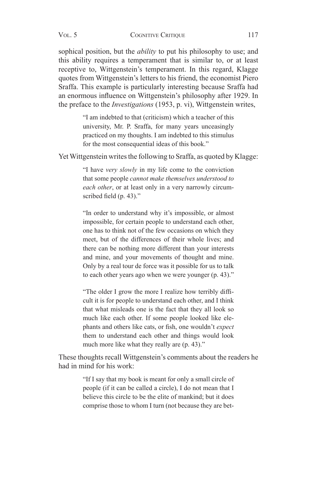sophical position, but the *ability* to put his philosophy to use; and this ability requires a temperament that is similar to, or at least receptive to, Wittgenstein's temperament. In this regard, Klagge quotes from Wittgenstein's letters to his friend, the economist Piero Sraffa. This example is particularly interesting because Sraffa had an enormous influence on Wittgenstein's philosophy after 1929. In the preface to the *Investigations* (1953, p. vi), Wittgenstein writes,

> "I am indebted to that (criticism) which a teacher of this university, Mr. P. Sraffa, for many years unceasingly practiced on my thoughts. I am indebted to this stimulus for the most consequential ideas of this book."

Yet Wittgenstein writes the following to Sraffa, as quoted by Klagge:

"I have *very slowly* in my life come to the conviction that some people *cannot make themselves understood to each other*, or at least only in a very narrowly circumscribed field (p. 43)."

"In order to understand why it's impossible, or almost impossible, for certain people to understand each other, one has to think not of the few occasions on which they meet, but of the differences of their whole lives; and there can be nothing more different than your interests and mine, and your movements of thought and mine. Only by a real tour de force was it possible for us to talk to each other years ago when we were younger (p. 43)."

"The older I grow the more I realize how terribly difficult it is for people to understand each other, and I think that what misleads one is the fact that they all look so much like each other. If some people looked like elephants and others like cats, or fish, one wouldn't *expect* them to understand each other and things would look much more like what they really are  $(p. 43)$ ."

These thoughts recall Wittgenstein's comments about the readers he had in mind for his work:

> "If I say that my book is meant for only a small circle of people (if it can be called a circle), I do not mean that I believe this circle to be the elite of mankind; but it does comprise those to whom I turn (not because they are bet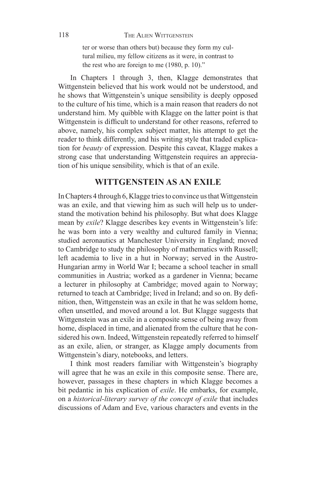ter or worse than others but) because they form my cultural milieu, my fellow citizens as it were, in contrast to the rest who are foreign to me (1980, p. 10)."

In Chapters 1 through 3, then, Klagge demonstrates that Wittgenstein believed that his work would not be understood, and he shows that Wittgenstein's unique sensibility is deeply opposed to the culture of his time, which is a main reason that readers do not understand him. My quibble with Klagge on the latter point is that Wittgenstein is difficult to understand for other reasons, referred to above, namely, his complex subject matter, his attempt to get the reader to think differently, and his writing style that traded explication for *beauty* of expression. Despite this caveat, Klagge makes a strong case that understanding Wittgenstein requires an appreciation of his unique sensibility, which is that of an exile.

### **WITTGENSTEIN AS AN EXILE**

In Chapters 4 through 6, Klagge tries to convince us that Wittgenstein was an exile, and that viewing him as such will help us to understand the motivation behind his philosophy. But what does Klagge mean by *exile*? Klagge describes key events in Wittgenstein's life: he was born into a very wealthy and cultured family in Vienna; studied aeronautics at Manchester University in England; moved to Cambridge to study the philosophy of mathematics with Russell; left academia to live in a hut in Norway; served in the Austro-Hungarian army in World War I; became a school teacher in small communities in Austria; worked as a gardener in Vienna; became a lecturer in philosophy at Cambridge; moved again to Norway; returned to teach at Cambridge; lived in Ireland; and so on. By definition, then, Wittgenstein was an exile in that he was seldom home, often unsettled, and moved around a lot. But Klagge suggests that Wittgenstein was an exile in a composite sense of being away from home, displaced in time, and alienated from the culture that he considered his own. Indeed, Wittgenstein repeatedly referred to himself as an exile, alien, or stranger, as Klagge amply documents from Wittgenstein's diary, notebooks, and letters.

I think most readers familiar with Wittgenstein's biography will agree that he was an exile in this composite sense. There are, however, passages in these chapters in which Klagge becomes a bit pedantic in his explication of *exile*. He embarks, for example, on a *historical-literary survey of the concept of exile* that includes discussions of Adam and Eve, various characters and events in the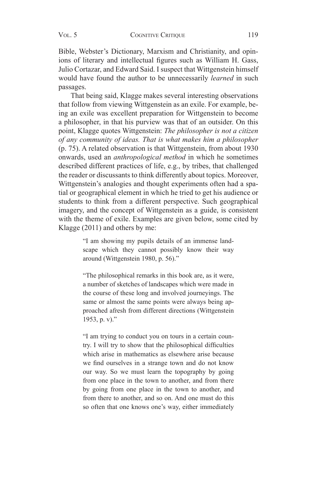Bible, Webster's Dictionary, Marxism and Christianity, and opinions of literary and intellectual figures such as William H. Gass, Julio Cortazar, and Edward Said. I suspect that Wittgenstein himself would have found the author to be unnecessarily *learned* in such passages.

That being said, Klagge makes several interesting observations that follow from viewing Wittgenstein as an exile. For example, being an exile was excellent preparation for Wittgenstein to become a philosopher, in that his purview was that of an outsider. On this point, Klagge quotes Wittgenstein: *The philosopher is not a citizen of any community of ideas. That is what makes him a philosopher* (p. 75). A related observation is that Wittgenstein, from about 1930 onwards, used an *anthropological method* in which he sometimes described different practices of life, e.g., by tribes, that challenged the reader or discussants to think differently about topics. Moreover, Wittgenstein's analogies and thought experiments often had a spatial or geographical element in which he tried to get his audience or students to think from a different perspective. Such geographical imagery, and the concept of Wittgenstein as a guide, is consistent with the theme of exile. Examples are given below, some cited by Klagge (2011) and others by me:

> "I am showing my pupils details of an immense landscape which they cannot possibly know their way around (Wittgenstein 1980, p. 56)."

> "The philosophical remarks in this book are, as it were, a number of sketches of landscapes which were made in the course of these long and involved journeyings. The same or almost the same points were always being approached afresh from different directions (Wittgenstein 1953, p. v)."

> "I am trying to conduct you on tours in a certain country. I will try to show that the philosophical difficulties which arise in mathematics as elsewhere arise because we find ourselves in a strange town and do not know our way. So we must learn the topography by going from one place in the town to another, and from there by going from one place in the town to another, and from there to another, and so on. And one must do this so often that one knows one's way, either immediately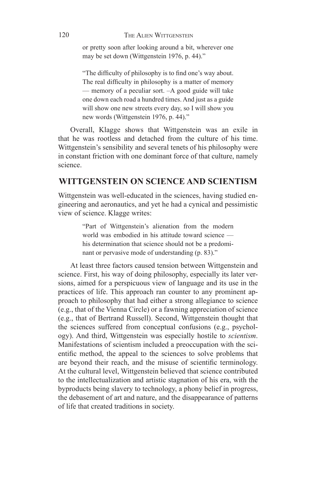or pretty soon after looking around a bit, wherever one may be set down (Wittgenstein 1976, p. 44)."

"The difficulty of philosophy is to find one's way about. The real difficulty in philosophy is a matter of memory — memory of a peculiar sort. –A good guide will take one down each road a hundred times. And just as a guide will show one new streets every day, so I will show you new words (Wittgenstein 1976, p. 44)."

Overall, Klagge shows that Wittgenstein was an exile in that he was rootless and detached from the culture of his time. Wittgenstein's sensibility and several tenets of his philosophy were in constant friction with one dominant force of that culture, namely science.

## **WITTGENSTEIN ON SCIENCE AND SCIENTISM**

Wittgenstein was well-educated in the sciences, having studied engineering and aeronautics, and yet he had a cynical and pessimistic view of science. Klagge writes:

> "Part of Wittgenstein's alienation from the modern world was embodied in his attitude toward science his determination that science should not be a predominant or pervasive mode of understanding (p. 83)."

At least three factors caused tension between Wittgenstein and science. First, his way of doing philosophy, especially its later versions, aimed for a perspicuous view of language and its use in the practices of life. This approach ran counter to any prominent approach to philosophy that had either a strong allegiance to science (e.g., that of the Vienna Circle) or a fawning appreciation of science (e.g., that of Bertrand Russell). Second, Wittgenstein thought that the sciences suffered from conceptual confusions (e.g., psychology). And third, Wittgenstein was especially hostile to *scientism*. Manifestations of scientism included a preoccupation with the scientific method, the appeal to the sciences to solve problems that are beyond their reach, and the misuse of scientific terminology. At the cultural level, Wittgenstein believed that science contributed to the intellectualization and artistic stagnation of his era, with the byproducts being slavery to technology, a phony belief in progress, the debasement of art and nature, and the disappearance of patterns of life that created traditions in society.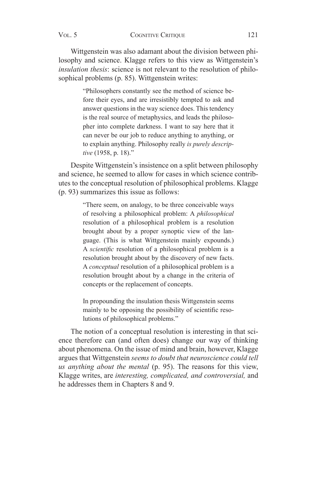Wittgenstein was also adamant about the division between philosophy and science. Klagge refers to this view as Wittgenstein's *insulation thesis*: science is not relevant to the resolution of philosophical problems (p. 85). Wittgenstein writes:

> "Philosophers constantly see the method of science before their eyes, and are irresistibly tempted to ask and answer questions in the way science does. This tendency is the real source of metaphysics, and leads the philosopher into complete darkness. I want to say here that it can never be our job to reduce anything to anything, or to explain anything. Philosophy really *is purely descriptive* (1958, p. 18)."

Despite Wittgenstein's insistence on a split between philosophy and science, he seemed to allow for cases in which science contributes to the conceptual resolution of philosophical problems. Klagge (p. 93) summarizes this issue as follows:

> "There seem, on analogy, to be three conceivable ways of resolving a philosophical problem: A *philosophical*  resolution of a philosophical problem is a resolution brought about by a proper synoptic view of the language. (This is what Wittgenstein mainly expounds.) A *scientific* resolution of a philosophical problem is a resolution brought about by the discovery of new facts. A *conceptual* resolution of a philosophical problem is a resolution brought about by a change in the criteria of concepts or the replacement of concepts.

> In propounding the insulation thesis Wittgenstein seems mainly to be opposing the possibility of scientific resolutions of philosophical problems."

The notion of a conceptual resolution is interesting in that science therefore can (and often does) change our way of thinking about phenomena. On the issue of mind and brain, however, Klagge argues that Wittgenstein *seems to doubt that neuroscience could tell us anything about the mental* (p. 95). The reasons for this view, Klagge writes, are *interesting, complicated, and controversial,* and he addresses them in Chapters 8 and 9.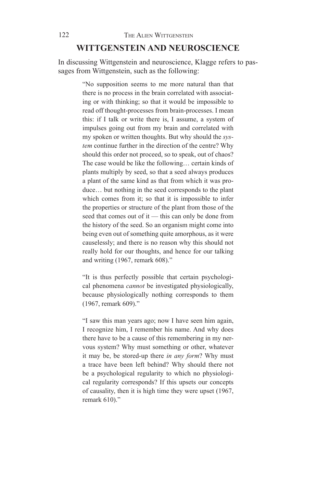### **WITTGENSTEIN AND NEUROSCIENCE**

In discussing Wittgenstein and neuroscience, Klagge refers to passages from Wittgenstein, such as the following:

> "No supposition seems to me more natural than that there is no process in the brain correlated with associating or with thinking; so that it would be impossible to read off thought-processes from brain-processes. I mean this: if I talk or write there is, I assume, a system of impulses going out from my brain and correlated with my spoken or written thoughts. But why should the *system* continue further in the direction of the centre? Why should this order not proceed, so to speak, out of chaos? The case would be like the following… certain kinds of plants multiply by seed, so that a seed always produces a plant of the same kind as that from which it was produce… but nothing in the seed corresponds to the plant which comes from it; so that it is impossible to infer the properties or structure of the plant from those of the seed that comes out of it — this can only be done from the history of the seed. So an organism might come into being even out of something quite amorphous, as it were causelessly; and there is no reason why this should not really hold for our thoughts, and hence for our talking and writing (1967, remark 608)."

> "It is thus perfectly possible that certain psychological phenomena *cannot* be investigated physiologically, because physiologically nothing corresponds to them (1967, remark 609)."

> "I saw this man years ago; now I have seen him again, I recognize him, I remember his name. And why does there have to be a cause of this remembering in my nervous system? Why must something or other, whatever it may be, be stored-up there *in any form*? Why must a trace have been left behind? Why should there not be a psychological regularity to which no physiological regularity corresponds? If this upsets our concepts of causality, then it is high time they were upset (1967, remark 610)."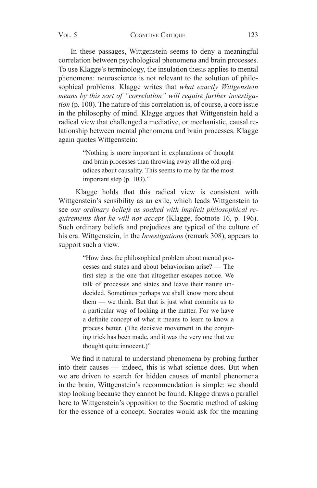In these passages, Wittgenstein seems to deny a meaningful correlation between psychological phenomena and brain processes. To use Klagge's terminology, the insulation thesis applies to mental phenomena: neuroscience is not relevant to the solution of philosophical problems. Klagge writes that *what exactly Wittgenstein means by this sort of "correlation" will require further investigation* (p. 100). The nature of this correlation is, of course, a core issue in the philosophy of mind. Klagge argues that Wittgenstein held a radical view that challenged a mediative, or mechanistic, causal relationship between mental phenomena and brain processes. Klagge again quotes Wittgenstein:

> "Nothing is more important in explanations of thought and brain processes than throwing away all the old prejudices about causality. This seems to me by far the most important step (p. 103)."

 Klagge holds that this radical view is consistent with Wittgenstein's sensibility as an exile, which leads Wittgenstein to see *our ordinary beliefs as soaked with implicit philosophical requirements that he will not accept* (Klagge, footnote 16, p. 196). Such ordinary beliefs and prejudices are typical of the culture of his era. Wittgenstein, in the *Investigations* (remark 308), appears to support such a view.

> "How does the philosophical problem about mental processes and states and about behaviorism arise? — The first step is the one that altogether escapes notice. We talk of processes and states and leave their nature undecided. Sometimes perhaps we shall know more about them — we think. But that is just what commits us to a particular way of looking at the matter. For we have a definite concept of what it means to learn to know a process better. (The decisive movement in the conjuring trick has been made, and it was the very one that we thought quite innocent.)"

We find it natural to understand phenomena by probing further into their causes — indeed, this is what science does. But when we are driven to search for hidden causes of mental phenomena in the brain, Wittgenstein's recommendation is simple: we should stop looking because they cannot be found. Klagge draws a parallel here to Wittgenstein's opposition to the Socratic method of asking for the essence of a concept. Socrates would ask for the meaning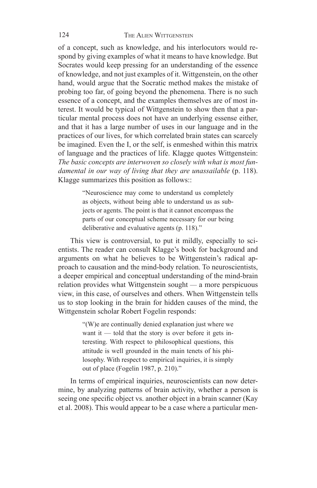of a concept, such as knowledge, and his interlocutors would respond by giving examples of what it means to have knowledge. But Socrates would keep pressing for an understanding of the essence of knowledge, and not just examples of it. Wittgenstein, on the other hand, would argue that the Socratic method makes the mistake of probing too far, of going beyond the phenomena. There is no such essence of a concept, and the examples themselves are of most interest. It would be typical of Wittgenstein to show then that a particular mental process does not have an underlying essense either, and that it has a large number of uses in our language and in the practices of our lives, for which correlated brain states can scarcely be imagined. Even the I, or the self, is enmeshed within this matrix of language and the practices of life. Klagge quotes Wittgenstein: *The basic concepts are interwoven so closely with what is most fun*damental in our way of living that they are unassailable (p. 118). Klagge summarizes this position as follows::

> "Neuroscience may come to understand us completely as objects, without being able to understand us as subjects or agents. The point is that it cannot encompass the parts of our conceptual scheme necessary for our being deliberative and evaluative agents (p. 118)."

This view is controversial, to put it mildly, especially to scientists. The reader can consult Klagge's book for background and arguments on what he believes to be Wittgenstein's radical approach to causation and the mind-body relation. To neuroscientists, a deeper empirical and conceptual understanding of the mind-brain relation provides what Wittgenstein sought — a more perspicuous view, in this case, of ourselves and others. When Wittgenstein tells us to stop looking in the brain for hidden causes of the mind, the Wittgenstein scholar Robert Fogelin responds:

> "(W)e are continually denied explanation just where we want it — told that the story is over before it gets interesting. With respect to philosophical questions, this attitude is well grounded in the main tenets of his philosophy. With respect to empirical inquiries, it is simply out of place (Fogelin 1987, p. 210)."

In terms of empirical inquiries, neuroscientists can now determine, by analyzing patterns of brain activity, whether a person is seeing one specific object vs. another object in a brain scanner (Kay et al. 2008). This would appear to be a case where a particular men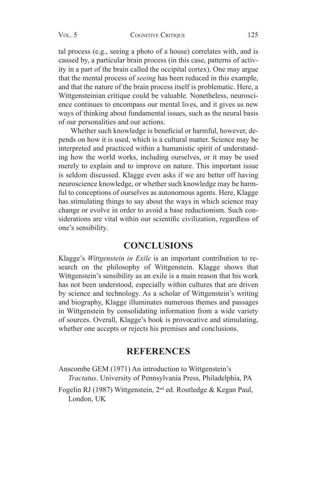tal process (e.g., seeing a photo of a house) correlates with, and is caused by, a particular brain process (in this case, patterns of activity in a part of the brain called the occipital cortex). One may argue that the mental process of *seeing* has been reduced in this example, and that the nature of the brain process itself is problematic. Here, a Wittgensteinian critique could be valuable. Nonetheless, neuroscience continues to encompass our mental lives, and it gives us new ways of thinking about fundamental issues, such as the neural basis of our personalities and our actions.

Whether such knowledge is beneficial or harmful, however, depends on how it is used, which is a cultural matter. Science may be interpreted and practiced within a humanistic spirit of understanding how the world works, including ourselves, or it may be used merely to explain and to improve on nature. This important issue is seldom discussed. Klagge even asks if we are better off having neuroscience knowledge, or whether such knowledge may be harmful to conceptions of ourselves as autonomous agents. Here, Klagge has stimulating things to say about the ways in which science may change or evolve in order to avoid a base reductionism. Such considerations are vital within our scientific civilization, regardless of one's sensibility.

## **CONCLUSIONS**

Klagge's *Wittgenstein in Exile* is an important contribution to research on the philosophy of Wittgenstein. Klagge shows that Wittgenstein's sensibility as an exile is a main reason that his work has not been understood, especially within cultures that are driven by science and technology. As a scholar of Wittgenstein's writing and biography, Klagge illuminates numerous themes and passages in Wittgenstein by consolidating information from a wide variety of sources. Overall, Klagge's book is provocative and stimulating, whether one accepts or rejects his premises and conclusions.

## **REFERENCES**

Anscombe GEM (1971) An introduction to Wittgenstein's *Tractatus*. University of Pennsylvania Press, Philadelphia, PA

Fogelin RJ (1987) Wittgenstein, 2nd ed. Routledge & Kegan Paul, London, UK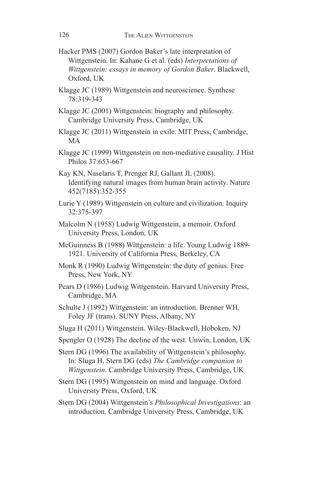- Hacker PMS (2007) Gordon Baker's late interpretation of Wittgenstein. In: Kahane G et al. (eds) *Interpretations of Wittgenstein: essays in memory of Gordon Baker*. Blackwell, Oxford, UK
- Klagge JC (1989) Wittgenstein and neuroscience. Synthese 78:319-343
- Klagge JC (2001) Wittgenstein: biography and philosophy. Cambridge University Press, Cambridge, UK
- Klagge JC (2011) Wittgenstein in exile. MIT Press, Cambridge, MA
- Klagge JC (1999) Wittgenstein on non-mediative causality. J Hist Philos 37:653-667
- Kay KN, Naselaris T, Prenger RJ, Gallant JL (2008). Identifying natural images from human brain activity. Nature 452(7185):352-355
- Lurie Y (1989) Wittgenstein on culture and civilization. Inquiry 32:375-397
- Malcolm N (1958) Ludwig Wittgenstein, a memoir. Oxford University Press, London, UK
- McGuinness B (1988) Wittgenstein: a life. Young Ludwig 1889- 1921. University of California Press, Berkeley, CA
- Monk R (1990) Ludwig Wittgenstein: the duty of genius. Free Press, New York, NY
- Pears D (1986) Ludwig Wittgenstein. Harvard University Press, Cambridge, MA
- Schulte J (1992) Wittgenstein: an introduction. Brenner WH, Foley JF (trans). SUNY Press, Albany, NY
- Sluga H (2011) Wittgenstein. Wiley-Blackwell, Hoboken, NJ
- Spengler O (1928) The decline of the west. Unwin, London, UK
- Stern DG (1996) The availability of Wittgenstein's philosophy. In: Sluga H, Stern DG (eds) *The Cambridge companion to Wittgenstein*. Cambridge University Press, Cambridge, UK
- Stern DG (1995) Wittgenstein on mind and language. Oxford University Press, Oxford, UK

Stern DG (2004) Wittgenstein's *Philosophical Investigations*: an introduction. Cambridge University Press, Cambridge, UK